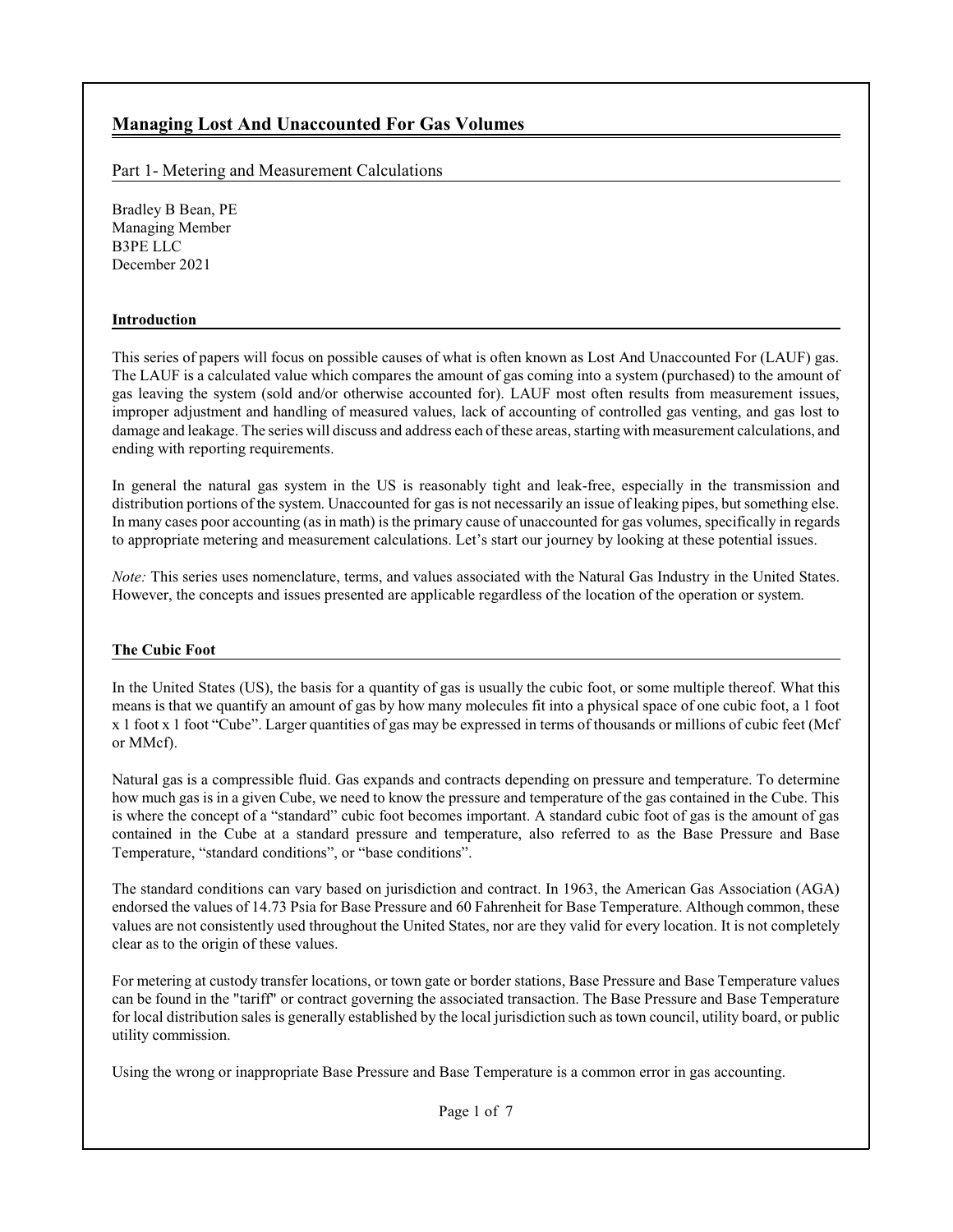# **Managing Lost And Unaccounted For Gas Volumes**

Part 1- Metering and Measurement Calculations

Bradley B Bean, PE Managing Member B3PE LLC December 2021

#### **Introduction**

This series of papers will focus on possible causes of what is often known as Lost And Unaccounted For (LAUF) gas. The LAUF is a calculated value which compares the amount of gas coming into a system (purchased) to the amount of gas leaving the system (sold and/or otherwise accounted for). LAUF most often results from measurement issues, improper adjustment and handling of measured values, lack of accounting of controlled gas venting, and gas lost to damage and leakage. The series will discuss and address each ofthese areas, starting with measurement calculations, and ending with reporting requirements.

In general the natural gas system in the US is reasonably tight and leak-free, especially in the transmission and distribution portions of the system. Unaccounted for gas is not necessarily an issue of leaking pipes, but something else. In many cases poor accounting (as in math) is the primary cause of unaccounted for gas volumes, specifically in regards to appropriate metering and measurement calculations. Let's start our journey by looking at these potential issues.

*Note:* This series uses nomenclature, terms, and values associated with the Natural Gas Industry in the United States. However, the concepts and issues presented are applicable regardless of the location of the operation or system.

#### **The Cubic Foot**

In the United States (US), the basis for a quantity of gas is usually the cubic foot, or some multiple thereof. What this means is that we quantify an amount of gas by how many molecules fit into a physical space of one cubic foot, a 1 foot x 1 foot x 1 foot "Cube". Larger quantities of gas may be expressed in terms of thousands or millions of cubic feet (Mcf or MMcf).

Natural gas is a compressible fluid. Gas expands and contracts depending on pressure and temperature. To determine how much gas is in a given Cube, we need to know the pressure and temperature of the gas contained in the Cube. This is where the concept of a "standard" cubic foot becomes important. A standard cubic foot of gas is the amount of gas contained in the Cube at a standard pressure and temperature, also referred to as the Base Pressure and Base Temperature, "standard conditions", or "base conditions".

The standard conditions can vary based on jurisdiction and contract. In 1963, the American Gas Association (AGA) endorsed the values of 14.73 Psia for Base Pressure and 60 Fahrenheit for Base Temperature. Although common, these values are not consistently used throughout the United States, nor are they valid for every location. It is not completely clear as to the origin of these values.

For metering at custody transfer locations, or town gate or border stations, Base Pressure and Base Temperature values can be found in the "tariff" or contract governing the associated transaction. The Base Pressure and Base Temperature for local distribution sales is generally established by the local jurisdiction such as town council, utility board, or public utility commission.

Using the wrong or inappropriate Base Pressure and Base Temperature is a common error in gas accounting.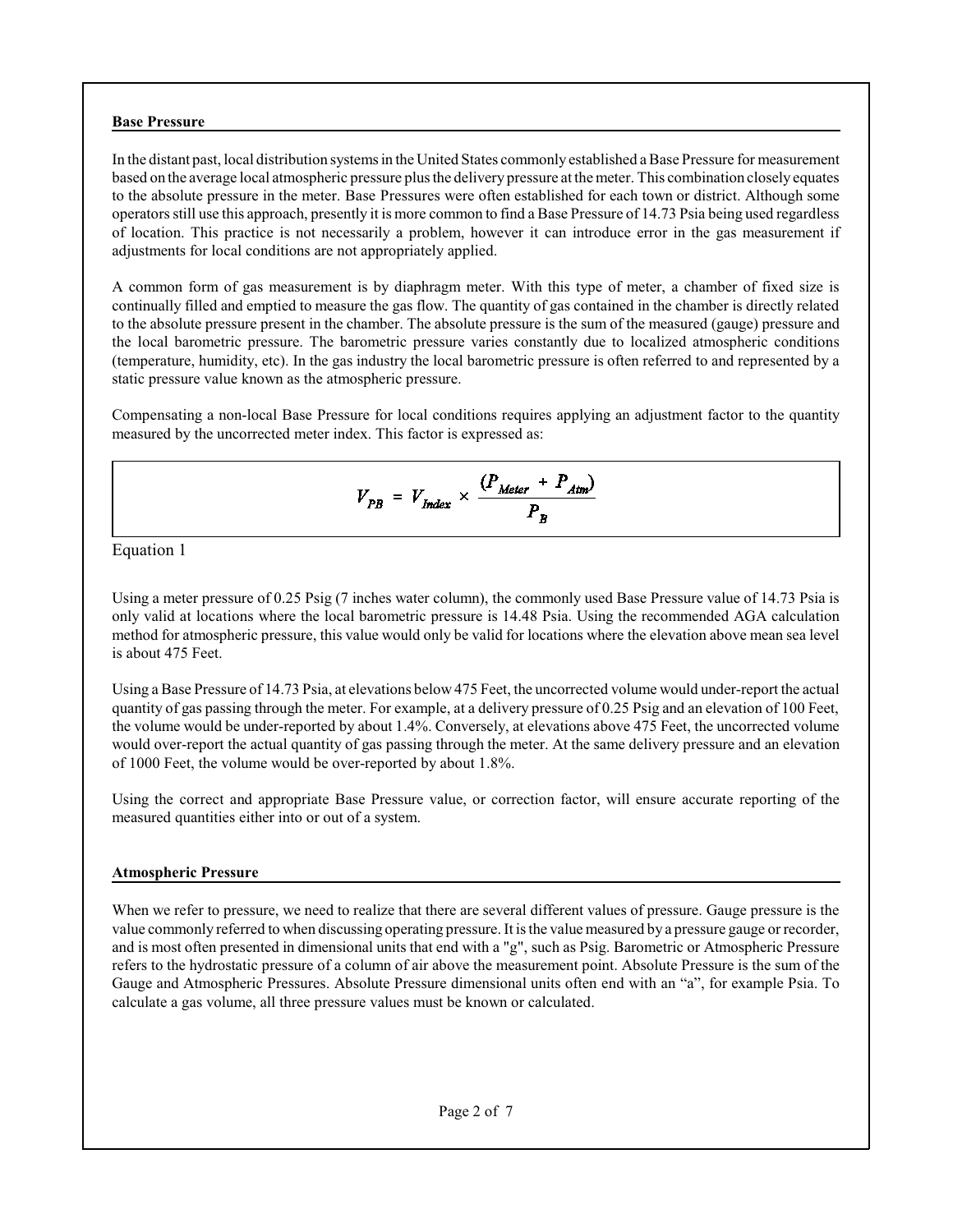#### **Base Pressure**

In the distant past, local distribution systems in the United States commonly established a Base Pressure for measurement based on the average local atmospheric pressure plus the delivery pressure at the meter. This combination closely equates to the absolute pressure in the meter. Base Pressures were often established for each town or district. Although some operators still use this approach, presently it is more common to find a Base Pressure of 14.73 Psia being used regardless of location. This practice is not necessarily a problem, however it can introduce error in the gas measurement if adjustments for local conditions are not appropriately applied.

A common form of gas measurement is by diaphragm meter. With this type of meter, a chamber of fixed size is continually filled and emptied to measure the gas flow. The quantity of gas contained in the chamber is directly related to the absolute pressure present in the chamber. The absolute pressure is the sum of the measured (gauge) pressure and the local barometric pressure. The barometric pressure varies constantly due to localized atmospheric conditions (temperature, humidity, etc). In the gas industry the local barometric pressure is often referred to and represented by a static pressure value known as the atmospheric pressure.

Compensating a non-local Base Pressure for local conditions requires applying an adjustment factor to the quantity measured by the uncorrected meter index. This factor is expressed as:

$$
V_{PB} = V_{Index} \times \frac{(P_{Meter} + P_{Atm})}{P_B}
$$

Equation 1

Using a meter pressure of 0.25 Psig (7 inches water column), the commonly used Base Pressure value of 14.73 Psia is only valid at locations where the local barometric pressure is 14.48 Psia. Using the recommended AGA calculation method for atmospheric pressure, this value would only be valid for locations where the elevation above mean sea level is about 475 Feet.

Using a Base Pressure of 14.73 Psia, at elevations below 475 Feet, the uncorrected volume would under-report the actual quantity of gas passing through the meter. For example, at a delivery pressure of 0.25 Psig and an elevation of 100 Feet, the volume would be under-reported by about 1.4%. Conversely, at elevations above 475 Feet, the uncorrected volume would over-report the actual quantity of gas passing through the meter. At the same delivery pressure and an elevation of 1000 Feet, the volume would be over-reported by about 1.8%.

Using the correct and appropriate Base Pressure value, or correction factor, will ensure accurate reporting of the measured quantities either into or out of a system.

#### **Atmospheric Pressure**

When we refer to pressure, we need to realize that there are several different values of pressure. Gauge pressure is the value commonly referred to when discussing operating pressure. It is the value measured by a pressure gauge or recorder, and is most often presented in dimensional units that end with a "g", such as Psig. Barometric or Atmospheric Pressure refers to the hydrostatic pressure of a column of air above the measurement point. Absolute Pressure is the sum of the Gauge and Atmospheric Pressures. Absolute Pressure dimensional units often end with an "a", for example Psia. To calculate a gas volume, all three pressure values must be known or calculated.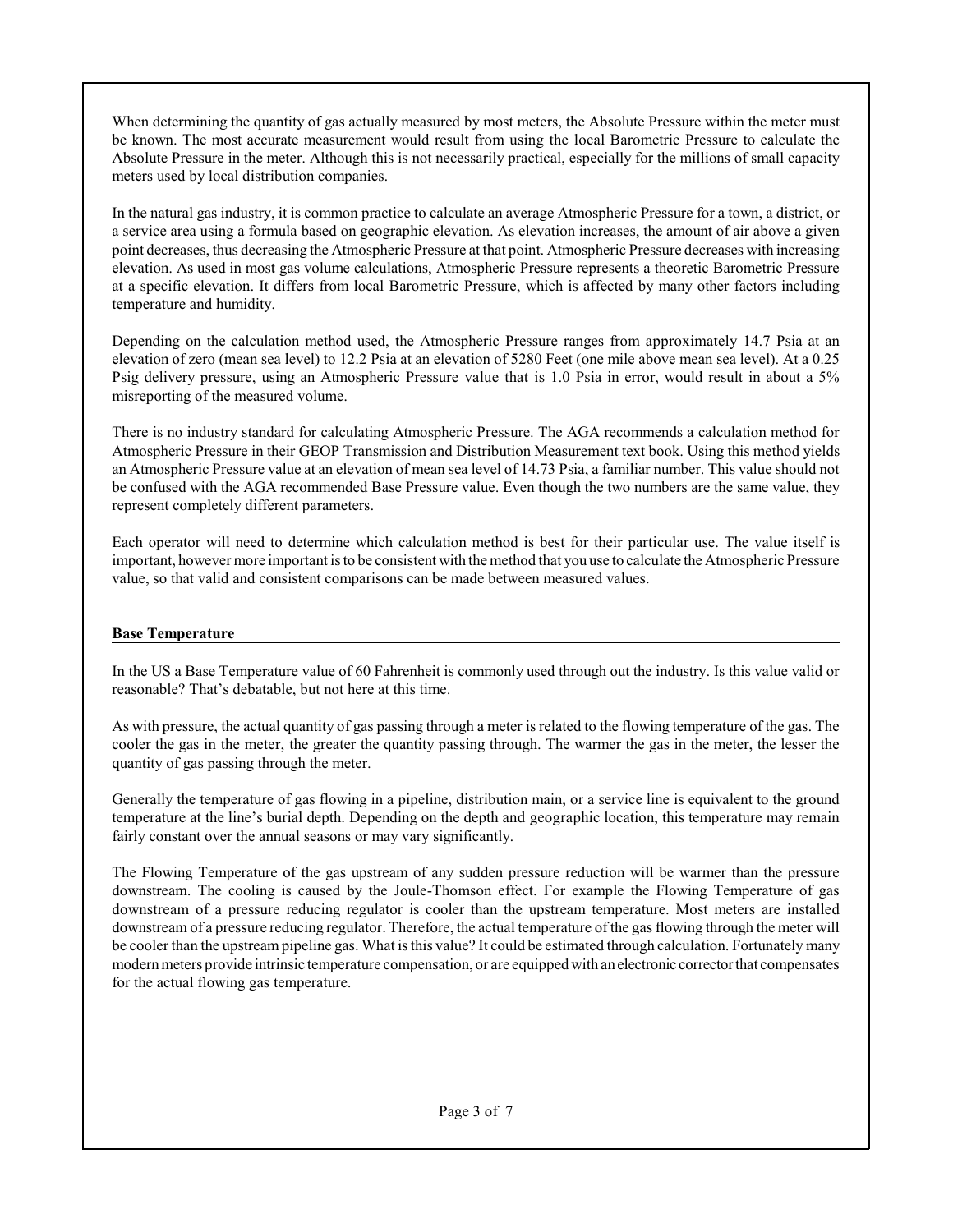When determining the quantity of gas actually measured by most meters, the Absolute Pressure within the meter must be known. The most accurate measurement would result from using the local Barometric Pressure to calculate the Absolute Pressure in the meter. Although this is not necessarily practical, especially for the millions of small capacity meters used by local distribution companies.

In the natural gas industry, it is common practice to calculate an average Atmospheric Pressure for a town, a district, or a service area using a formula based on geographic elevation. As elevation increases, the amount of air above a given point decreases, thus decreasing the Atmospheric Pressure at that point. Atmospheric Pressure decreases with increasing elevation. As used in most gas volume calculations, Atmospheric Pressure represents a theoretic Barometric Pressure at a specific elevation. It differs from local Barometric Pressure, which is affected by many other factors including temperature and humidity.

Depending on the calculation method used, the Atmospheric Pressure ranges from approximately 14.7 Psia at an elevation of zero (mean sea level) to 12.2 Psia at an elevation of 5280 Feet (one mile above mean sea level). At a 0.25 Psig delivery pressure, using an Atmospheric Pressure value that is 1.0 Psia in error, would result in about a 5% misreporting of the measured volume.

There is no industry standard for calculating Atmospheric Pressure. The AGA recommends a calculation method for Atmospheric Pressure in their GEOP Transmission and Distribution Measurement text book. Using this method yields an Atmospheric Pressure value at an elevation of mean sea level of 14.73 Psia, a familiar number. This value should not be confused with the AGA recommended Base Pressure value. Even though the two numbers are the same value, they represent completely different parameters.

Each operator will need to determine which calculation method is best for their particular use. The value itself is important, however more important is to be consistent with the method that you use to calculate the Atmospheric Pressure value, so that valid and consistent comparisons can be made between measured values.

## **Base Temperature**

In the US a Base Temperature value of 60 Fahrenheit is commonly used through out the industry. Is this value valid or reasonable? That's debatable, but not here at this time.

As with pressure, the actual quantity of gas passing through a meter is related to the flowing temperature of the gas. The cooler the gas in the meter, the greater the quantity passing through. The warmer the gas in the meter, the lesser the quantity of gas passing through the meter.

Generally the temperature of gas flowing in a pipeline, distribution main, or a service line is equivalent to the ground temperature at the line's burial depth. Depending on the depth and geographic location, this temperature may remain fairly constant over the annual seasons or may vary significantly.

The Flowing Temperature of the gas upstream of any sudden pressure reduction will be warmer than the pressure downstream. The cooling is caused by the Joule-Thomson effect. For example the Flowing Temperature of gas downstream of a pressure reducing regulator is cooler than the upstream temperature. Most meters are installed downstream of a pressure reducing regulator. Therefore, the actual temperature of the gas flowing through the meter will be cooler than the upstream pipeline gas. What is this value? It could be estimated through calculation. Fortunately many modern meters provide intrinsic temperature compensation, or are equipped with an electronic corrector that compensates for the actual flowing gas temperature.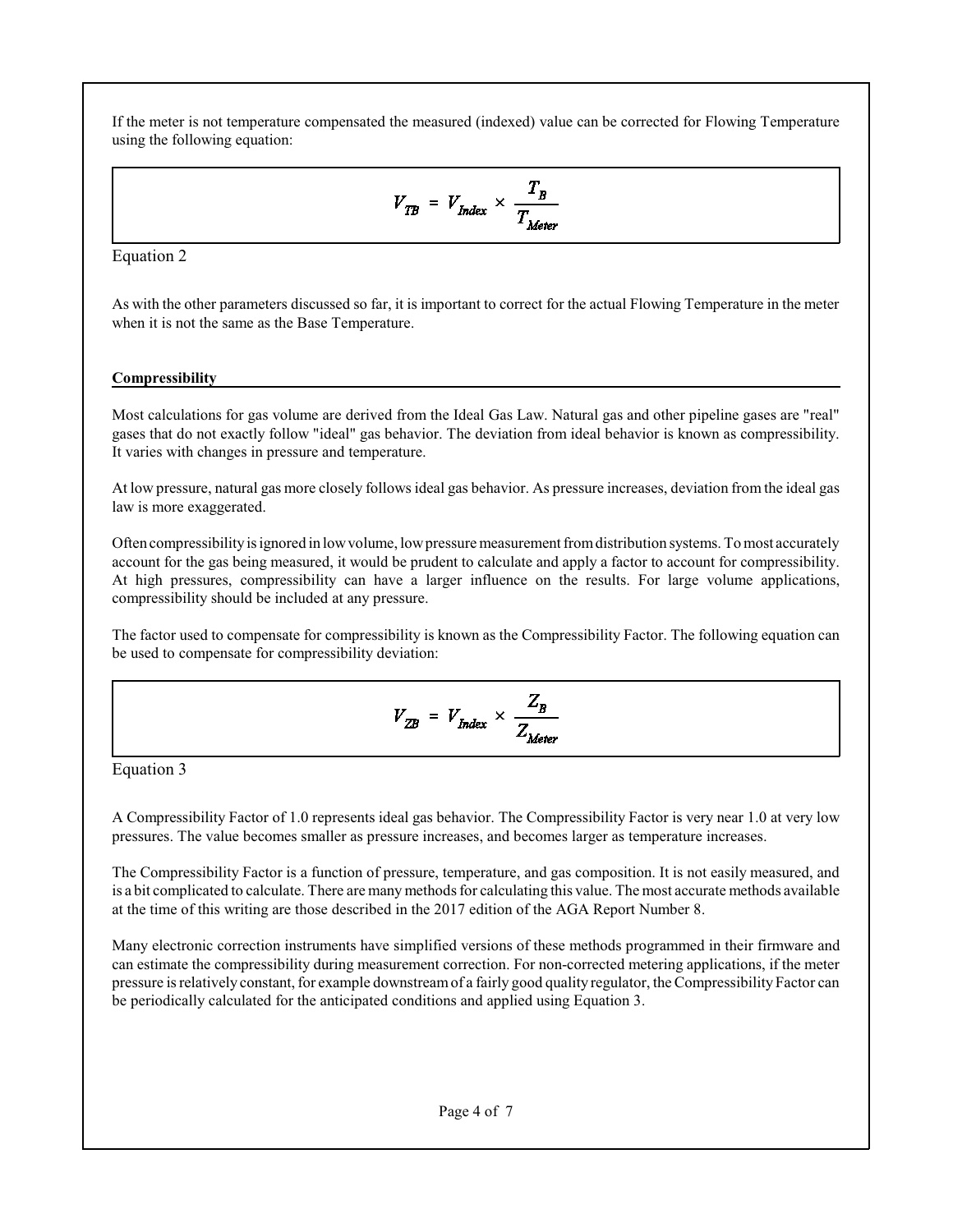If the meter is not temperature compensated the measured (indexed) value can be corrected for Flowing Temperature using the following equation:

$$
V_{TB} = V_{Index} \times \frac{T_B}{T_{Motor}}
$$

Equation 2

As with the other parameters discussed so far, it is important to correct for the actual Flowing Temperature in the meter when it is not the same as the Base Temperature.

## **Compressibility**

Most calculations for gas volume are derived from the Ideal Gas Law. Natural gas and other pipeline gases are "real" gases that do not exactly follow "ideal" gas behavior. The deviation from ideal behavior is known as compressibility. It varies with changes in pressure and temperature.

At low pressure, natural gas more closely follows ideal gas behavior. As pressure increases, deviation from the ideal gas law is more exaggerated.

Often compressibilityis ignored in lowvolume, lowpressure measurement fromdistribution systems. Tomost accurately account for the gas being measured, it would be prudent to calculate and apply a factor to account for compressibility. At high pressures, compressibility can have a larger influence on the results. For large volume applications, compressibility should be included at any pressure.

The factor used to compensate for compressibility is known as the Compressibility Factor. The following equation can be used to compensate for compressibility deviation:

$$
V_{ZB} = V_{Index} \times \frac{Z_B}{Z_{Meter}}
$$

Equation 3

A Compressibility Factor of 1.0 represents ideal gas behavior. The Compressibility Factor is very near 1.0 at very low pressures. The value becomes smaller as pressure increases, and becomes larger as temperature increases.

The Compressibility Factor is a function of pressure, temperature, and gas composition. It is not easily measured, and is a bit complicated to calculate. There are many methods for calculating this value. The most accurate methods available at the time of this writing are those described in the 2017 edition of the AGA Report Number 8.

Many electronic correction instruments have simplified versions of these methods programmed in their firmware and can estimate the compressibility during measurement correction. For non-corrected metering applications, if the meter pressure is relatively constant, for example downstreamof a fairly good quality regulator, the Compressibility Factor can be periodically calculated for the anticipated conditions and applied using Equation 3.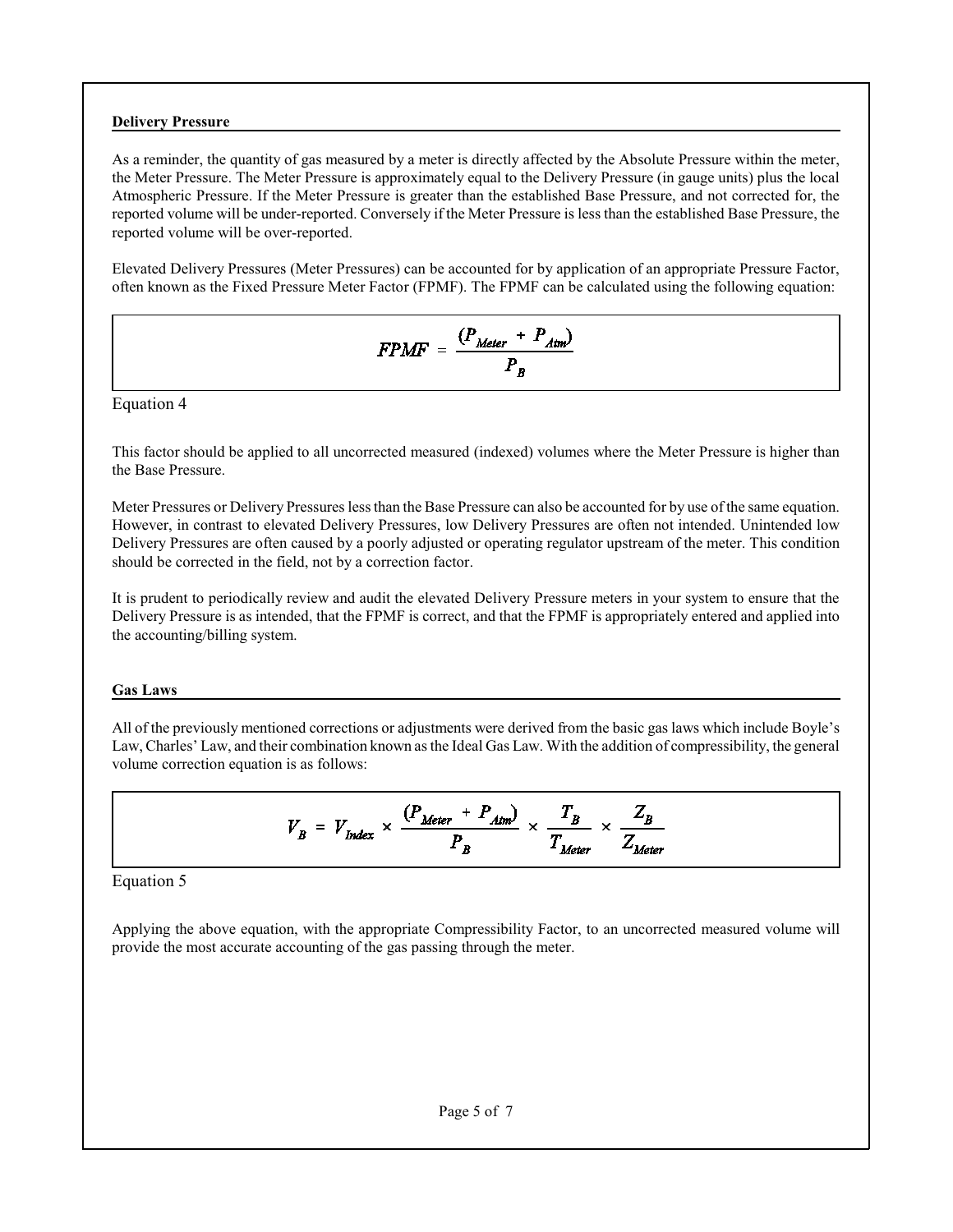#### **Delivery Pressure**

As a reminder, the quantity of gas measured by a meter is directly affected by the Absolute Pressure within the meter, the Meter Pressure. The Meter Pressure is approximately equal to the Delivery Pressure (in gauge units) plus the local Atmospheric Pressure. If the Meter Pressure is greater than the established Base Pressure, and not corrected for, the reported volume will be under-reported. Conversely if the Meter Pressure is less than the established Base Pressure, the reported volume will be over-reported.

Elevated Delivery Pressures (Meter Pressures) can be accounted for by application of an appropriate Pressure Factor, often known as the Fixed Pressure Meter Factor (FPMF). The FPMF can be calculated using the following equation:

$$
FPMF = \frac{(P_{Meter} + P_{Atm})}{P_B}
$$

Equation 4

This factor should be applied to all uncorrected measured (indexed) volumes where the Meter Pressure is higher than the Base Pressure.

Meter Pressures or Delivery Pressures less than the Base Pressure can also be accounted for by use of the same equation. However, in contrast to elevated Delivery Pressures, low Delivery Pressures are often not intended. Unintended low Delivery Pressures are often caused by a poorly adjusted or operating regulator upstream of the meter. This condition should be corrected in the field, not by a correction factor.

It is prudent to periodically review and audit the elevated Delivery Pressure meters in your system to ensure that the Delivery Pressure is as intended, that the FPMF is correct, and that the FPMF is appropriately entered and applied into the accounting/billing system.

#### **Gas Laws**

All of the previously mentioned corrections or adjustments were derived from the basic gas laws which include Boyle's Law, Charles' Law, and their combination known as the Ideal Gas Law. With the addition of compressibility, the general volume correction equation is as follows:

$$
V_B = V_{Index} \times \frac{(P_{Meter} + P_{Atm})}{P_B} \times \frac{T_B}{T_{Meter}} \times \frac{Z_B}{Z_{Meter}}
$$

Equation 5

Applying the above equation, with the appropriate Compressibility Factor, to an uncorrected measured volume will provide the most accurate accounting of the gas passing through the meter.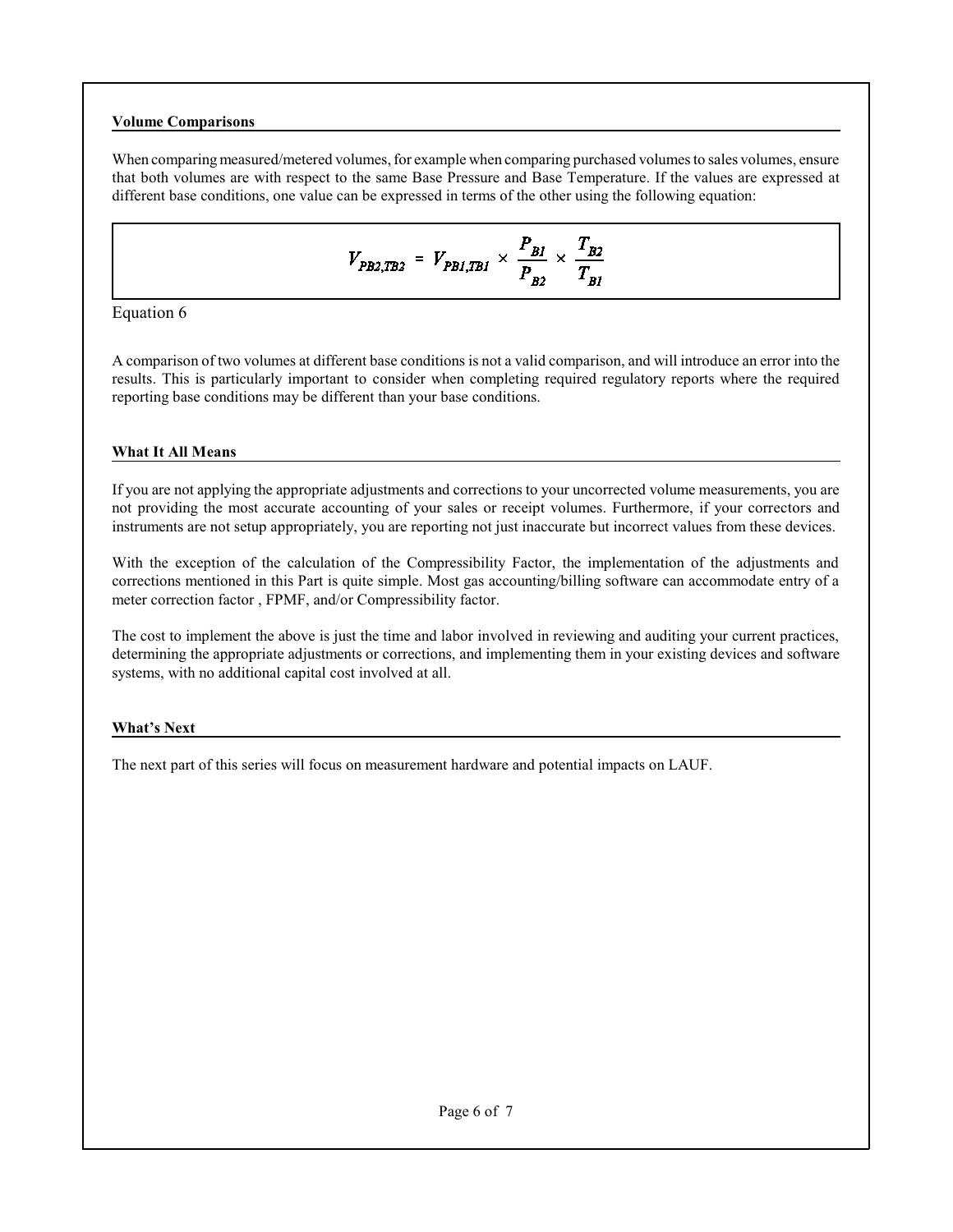## **Volume Comparisons**

When comparing measured/metered volumes, for example when comparing purchased volumes to sales volumes, ensure that both volumes are with respect to the same Base Pressure and Base Temperature. If the values are expressed at different base conditions, one value can be expressed in terms of the other using the following equation:

$$
V_{PB2,TB2} = V_{PB1,TB1} \times \frac{P_{BI}}{P_{B2}} \times \frac{T_{B2}}{T_{BI}}
$$

Equation 6

A comparison of two volumes at different base conditions is not a valid comparison, and will introduce an error into the results. This is particularly important to consider when completing required regulatory reports where the required reporting base conditions may be different than your base conditions.

## **What It All Means**

If you are not applying the appropriate adjustments and corrections to your uncorrected volume measurements, you are not providing the most accurate accounting of your sales or receipt volumes. Furthermore, if your correctors and instruments are not setup appropriately, you are reporting not just inaccurate but incorrect values from these devices.

With the exception of the calculation of the Compressibility Factor, the implementation of the adjustments and corrections mentioned in this Part is quite simple. Most gas accounting/billing software can accommodate entry of a meter correction factor , FPMF, and/or Compressibility factor.

The cost to implement the above is just the time and labor involved in reviewing and auditing your current practices, determining the appropriate adjustments or corrections, and implementing them in your existing devices and software systems, with no additional capital cost involved at all.

## **What's Next**

The next part of this series will focus on measurement hardware and potential impacts on LAUF.